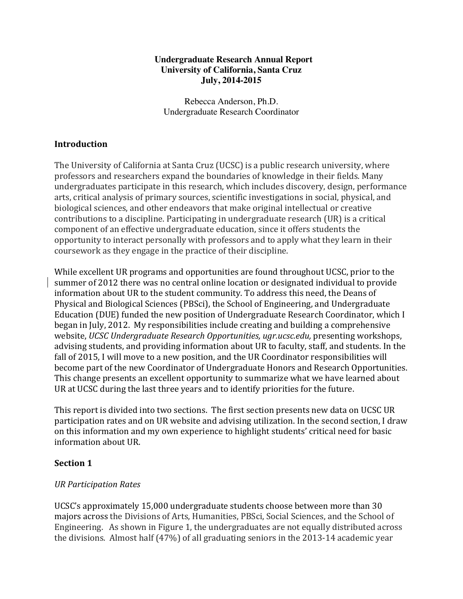#### **Undergraduate Research Annual Report University of California, Santa Cruz July, 2014-2015**

Rebecca Anderson, Ph.D. Undergraduate Research Coordinator

# **Introduction**

The University of California at Santa Cruz (UCSC) is a public research university, where professors and researchers expand the boundaries of knowledge in their fields. Many undergraduates participate in this research, which includes discovery, design, performance arts, critical analysis of primary sources, scientific investigations in social, physical, and biological sciences, and other endeavors that make original intellectual or creative contributions to a discipline. Participating in undergraduate research (UR) is a critical component of an effective undergraduate education, since it offers students the opportunity to interact personally with professors and to apply what they learn in their coursework as they engage in the practice of their discipline.

While excellent UR programs and opportunities are found throughout UCSC, prior to the summer of 2012 there was no central online location or designated individual to provide information about UR to the student community. To address this need, the Deans of Physical and Biological Sciences (PBSci), the School of Engineering, and Undergraduate Education (DUE) funded the new position of Undergraduate Research Coordinator, which I began in July, 2012. My responsibilities include creating and building a comprehensive website, *UCSC Undergraduate Research Opportunities, ugr.ucsc.edu,* presenting workshops, advising students, and providing information about UR to faculty, staff, and students. In the fall of 2015, I will move to a new position, and the UR Coordinator responsibilities will become part of the new Coordinator of Undergraduate Honors and Research Opportunities. This change presents an excellent opportunity to summarize what we have learned about UR at UCSC during the last three years and to identify priorities for the future.

This report is divided into two sections. The first section presents new data on UCSC UR participation rates and on UR website and advising utilization. In the second section, I draw on this information and my own experience to highlight students' critical need for basic information about UR.

### **Section 1**

### *UR Participation Rates*

UCSC's approximately 15,000 undergraduate students choose between more than 30 majors across the Divisions of Arts, Humanities, PBSci, Social Sciences, and the School of Engineering. As shown in Figure 1, the undergraduates are not equally distributed across the divisions. Almost half  $(47%)$  of all graduating seniors in the 2013-14 academic year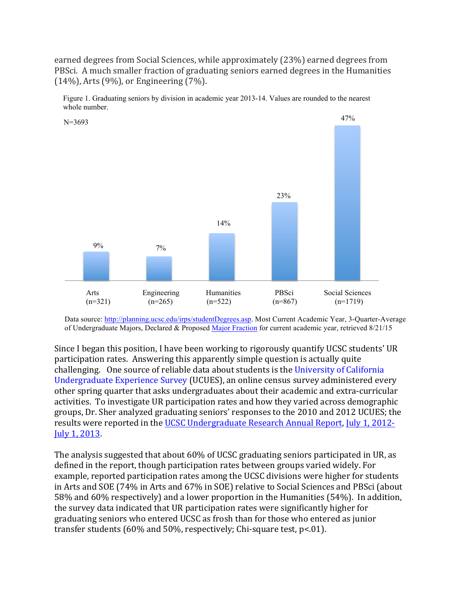earned degrees from Social Sciences, while approximately (23%) earned degrees from PBSci. A much smaller fraction of graduating seniors earned degrees in the Humanities  $(14\%)$ , Arts  $(9\%)$ , or Engineering  $(7\%)$ .



Figure 1. Graduating seniors by division in academic year 2013-14. Values are rounded to the nearest whole number.

Since I began this position, I have been working to rigorously quantify UCSC students' UR participation rates. Answering this apparently simple question is actually quite challenging. One source of reliable data about students is the University of California Undergraduate Experience Survey (UCUES), an online census survey administered every other spring quarter that asks undergraduates about their academic and extra-curricular activities. To investigate UR participation rates and how they varied across demographic groups, Dr. Sher analyzed graduating seniors' responses to the 2010 and 2012 UCUES; the results were reported in the UCSC Undergraduate Research Annual Report, July 1, 2012-July 1, 2013.

The analysis suggested that about 60% of UCSC graduating seniors participated in UR, as defined in the report, though participation rates between groups varied widely. For example, reported participation rates among the UCSC divisions were higher for students in Arts and SOE (74% in Arts and 67% in SOE) relative to Social Sciences and PBSci (about 58% and 60% respectively) and a lower proportion in the Humanities (54%). In addition, the survey data indicated that UR participation rates were significantly higher for graduating seniors who entered UCSC as frosh than for those who entered as junior transfer students  $(60\%$  and  $50\%$ , respectively; Chi-square test, p<.01).

Data source: http://planning.ucsc.edu/irps/studentDegrees.asp. Most Current Academic Year, 3-Quarter-Average of Undergraduate Majors, Declared & Proposed Major Fraction for current academic year, retrieved 8/21/15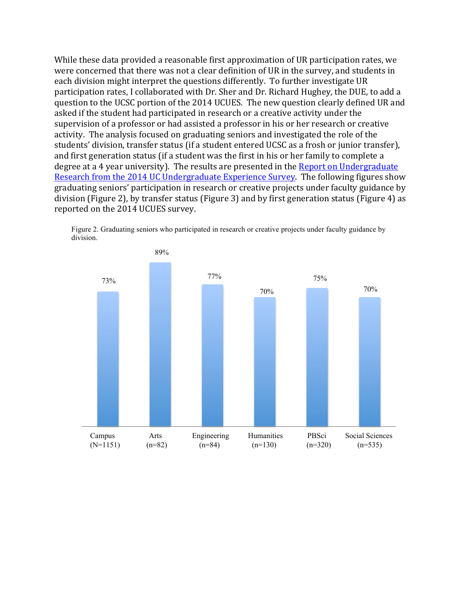While these data provided a reasonable first approximation of UR participation rates, we were concerned that there was not a clear definition of UR in the survey, and students in each division might interpret the questions differently. To further investigate UR participation rates, I collaborated with Dr. Sher and Dr. Richard Hughey, the DUE, to add a question to the UCSC portion of the 2014 UCUES. The new question clearly defined UR and asked if the student had participated in research or a creative activity under the supervision of a professor or had assisted a professor in his or her research or creative activity. The analysis focused on graduating seniors and investigated the role of the students' division, transfer status (if a student entered UCSC as a frosh or junior transfer), and first generation status (if a student was the first in his or her family to complete a degree at a 4 year university). The results are presented in the Report on Undergraduate Research from the 2014 UC Undergraduate Experience Survey. The following figures show graduating seniors' participation in research or creative projects under faculty guidance by division (Figure 2), by transfer status (Figure 3) and by first generation status (Figure 4) as reported on the 2014 UCUES survey.

Figure 2. Graduating seniors who participated in research or creative projects under faculty guidance by division.

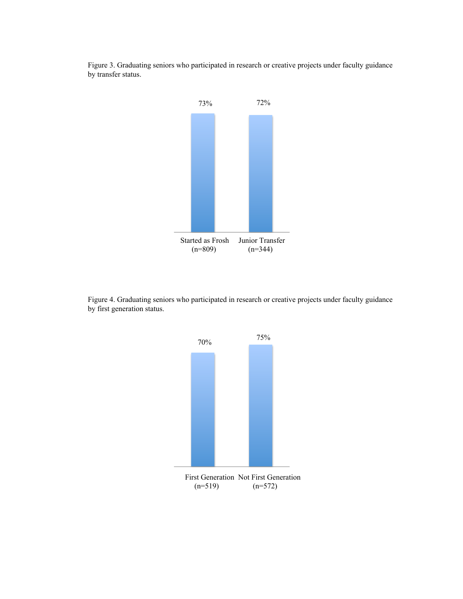Figure 3. Graduating seniors who participated in research or creative projects under faculty guidance by transfer status.



Figure 4. Graduating seniors who participated in research or creative projects under faculty guidance by first generation status.

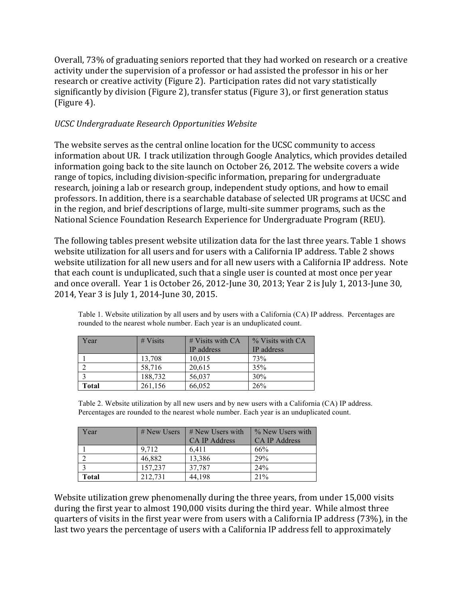Overall, 73% of graduating seniors reported that they had worked on research or a creative activity under the supervision of a professor or had assisted the professor in his or her research or creative activity (Figure 2). Participation rates did not vary statistically significantly by division (Figure 2), transfer status (Figure 3), or first generation status  $(Figure 4)$ .

## *UCSC Undergraduate Research Opportunities Website*

The website serves as the central online location for the UCSC community to access information about UR. I track utilization through Google Analytics, which provides detailed information going back to the site launch on October 26, 2012. The website covers a wide range of topics, including division-specific information, preparing for undergraduate research, joining a lab or research group, independent study options, and how to email professors. In addition, there is a searchable database of selected UR programs at UCSC and in the region, and brief descriptions of large, multi-site summer programs, such as the National Science Foundation Research Experience for Undergraduate Program (REU).

The following tables present website utilization data for the last three years. Table 1 shows website utilization for all users and for users with a California IP address. Table 2 shows website utilization for all new users and for all new users with a California IP address. Note that each count is unduplicated, such that a single user is counted at most once per year and once overall. Year 1 is October 26, 2012-June 30, 2013; Year 2 is July 1, 2013-June 30, 2014, Year 3 is July 1, 2014-June 30, 2015.

| Year  | $# V_{\text{isits}}$ | $\#$ Visits with CA | % Visits with CA |
|-------|----------------------|---------------------|------------------|
|       |                      | IP address          | IP address       |
|       | 13,708               | 10,015              | 73%              |
|       | 58,716               | 20,615              | 35%              |
|       | 188,732              | 56,037              | 30%              |
| Total | 261,156              | 66,052              | 26%              |

Table 1. Website utilization by all users and by users with a California (CA) IP address. Percentages are rounded to the nearest whole number. Each year is an unduplicated count.

Table 2. Website utilization by all new users and by new users with a California (CA) IP address. Percentages are rounded to the nearest whole number. Each year is an unduplicated count.

| Year  | $#$ New Users | $#$ New Users with<br><b>CA IP Address</b> | % New Users with<br><b>CA IP Address</b> |
|-------|---------------|--------------------------------------------|------------------------------------------|
|       | 9.712         | 6.411                                      | 66%                                      |
|       | 46,882        | 13,386                                     | 29%                                      |
|       | 157,237       | 37.787                                     | 24%                                      |
| Total | 212.731       | 44.198                                     | 21%                                      |

Website utilization grew phenomenally during the three years, from under 15,000 visits during the first year to almost 190,000 visits during the third year. While almost three quarters of visits in the first year were from users with a California IP address (73%), in the last two years the percentage of users with a California IP address fell to approximately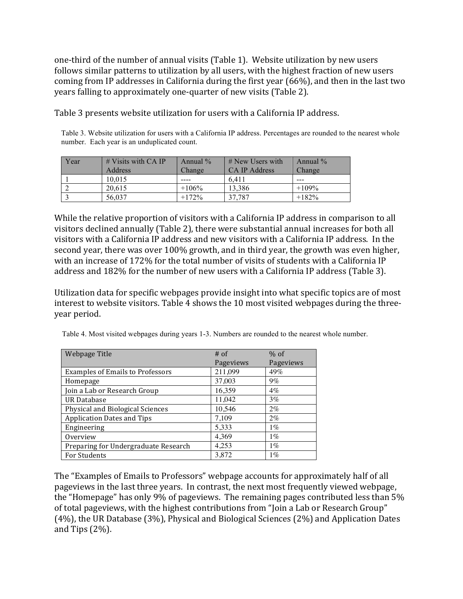one-third of the number of annual visits (Table 1). Website utilization by new users follows similar patterns to utilization by all users, with the highest fraction of new users coming from IP addresses in California during the first year  $(66%)$ , and then in the last two years falling to approximately one-quarter of new visits (Table 2).

Table 3 presents website utilization for users with a California IP address.

Table 3. Website utilization for users with a California IP address. Percentages are rounded to the nearest whole number. Each year is an unduplicated count.

| Year | $#$ Visits with CA IP | Annual $\%$ | $#$ New Users with | Annual $\%$ |
|------|-----------------------|-------------|--------------------|-------------|
|      | Address               | Change/     | CA IP Address      | Change      |
|      | 10.015                |             | 6.411              | ---         |
|      | 20.615                | $+106%$     | 13.386             | $+109%$     |
|      | 56.037                | $+172%$     | 37.787             | $+182%$     |

While the relative proportion of visitors with a California IP address in comparison to all visitors declined annually (Table 2), there were substantial annual increases for both all visitors with a California IP address and new visitors with a California IP address. In the second year, there was over 100% growth, and in third year, the growth was even higher, with an increase of 172% for the total number of visits of students with a California IP address and 182% for the number of new users with a California IP address (Table 3).

Utilization data for specific webpages provide insight into what specific topics are of most interest to website visitors. Table 4 shows the 10 most visited webpages during the threeyear period.

| Webpage Title                           | $#$ of    | $%$ of    |
|-----------------------------------------|-----------|-----------|
|                                         | Pageviews | Pageviews |
| <b>Examples of Emails to Professors</b> | 211,099   | 49%       |
| Homepage                                | 37,003    | $9\%$     |
| Join a Lab or Research Group            | 16,359    | $4\%$     |
| <b>UR Database</b>                      | 11,042    | $3\%$     |
| Physical and Biological Sciences        | 10,546    | $2\%$     |
| <b>Application Dates and Tips</b>       | 7,109     | $2\%$     |
| Engineering                             | 5,333     | $1\%$     |
| Overview                                | 4,369     | $1\%$     |
| Preparing for Undergraduate Research    | 4,253     | $1\%$     |
| For Students                            | 3.872     | $1\%$     |

Table 4. Most visited webpages during years 1-3. Numbers are rounded to the nearest whole number.

The "Examples of Emails to Professors" webpage accounts for approximately half of all pageviews in the last three years. In contrast, the next most frequently viewed webpage, the "Homepage" has only 9% of pageviews. The remaining pages contributed less than  $5\%$ of total pageviews, with the highest contributions from "Join a Lab or Research Group"  $(4%)$ , the UR Database  $(3%)$ , Physical and Biological Sciences  $(2%)$  and Application Dates and Tips  $(2%)$ .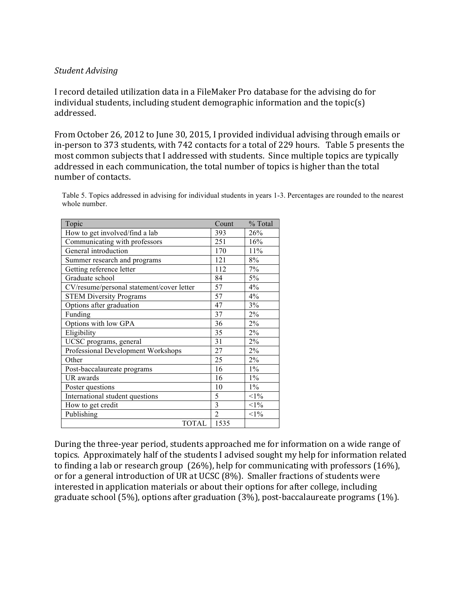#### *Student Advising*

I record detailed utilization data in a FileMaker Pro database for the advising do for individual students, including student demographic information and the topic(s) addressed.

From October 26, 2012 to June 30, 2015, I provided individual advising through emails or in-person to 373 students, with 742 contacts for a total of 229 hours. Table 5 presents the most common subjects that I addressed with students. Since multiple topics are typically addressed in each communication, the total number of topics is higher than the total number of contacts.

Table 5. Topics addressed in advising for individual students in years 1-3. Percentages are rounded to the nearest whole number.

| Topic                                     | Count          | % Total |
|-------------------------------------------|----------------|---------|
| How to get involved/find a lab            | 393            | 26%     |
| Communicating with professors             | 251            | 16%     |
| General introduction                      | 170            | 11%     |
| Summer research and programs              | 121            | 8%      |
| Getting reference letter                  | 112            | 7%      |
| Graduate school                           | 84             | 5%      |
| CV/resume/personal statement/cover letter | 57             | 4%      |
| <b>STEM Diversity Programs</b>            | 57             | 4%      |
| Options after graduation                  | 47             | 3%      |
| Funding                                   | 37             | $2\%$   |
| Options with low GPA                      | 36             | 2%      |
| Eligibility                               | 35             | $2\%$   |
| UCSC programs, general                    | 31             | 2%      |
| Professional Development Workshops        | 27             | 2%      |
| Other                                     | 25             | 2%      |
| Post-baccalaureate programs               | 16             | $1\%$   |
| UR awards                                 | 16             | $1\%$   |
| Poster questions                          | 10             | $1\%$   |
| International student questions           | 5              | $<1\%$  |
| How to get credit                         | $\overline{3}$ | $<1\%$  |
| Publishing                                | $\overline{2}$ | $<1\%$  |
| <b>TOTAL</b>                              | 1535           |         |

During the three-year period, students approached me for information on a wide range of topics. Approximately half of the students I advised sought my help for information related to finding a lab or research group  $(26%)$ , help for communicating with professors  $(16%)$ , or for a general introduction of UR at UCSC (8%). Smaller fractions of students were interested in application materials or about their options for after college, including graduate school  $(5\%)$ , options after graduation  $(3\%)$ , post-baccalaureate programs  $(1\%)$ .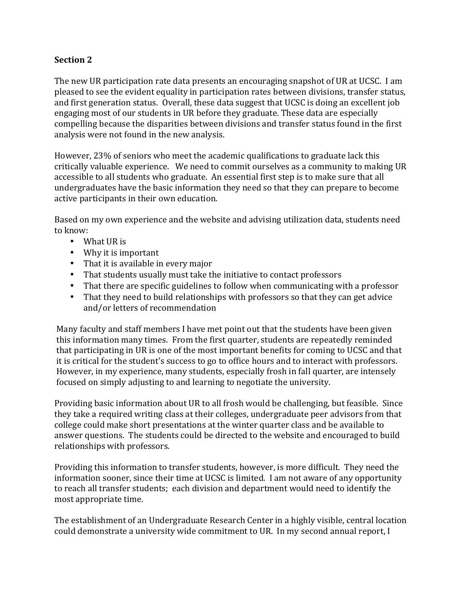# **Section 2**

The new UR participation rate data presents an encouraging snapshot of UR at UCSC. I am pleased to see the evident equality in participation rates between divisions, transfer status, and first generation status. Overall, these data suggest that UCSC is doing an excellent job engaging most of our students in UR before they graduate. These data are especially compelling because the disparities between divisions and transfer status found in the first analysis were not found in the new analysis.

However, 23% of seniors who meet the academic qualifications to graduate lack this critically valuable experience. We need to commit ourselves as a community to making UR accessible to all students who graduate. An essential first step is to make sure that all undergraduates have the basic information they need so that they can prepare to become active participants in their own education.

Based on my own experience and the website and advising utilization data, students need to know:

- $\bullet$  What UR is
- Why it is important
- That it is available in every major
- That students usually must take the initiative to contact professors
- That there are specific guidelines to follow when communicating with a professor
- That they need to build relationships with professors so that they can get advice and/or letters of recommendation

Many faculty and staff members I have met point out that the students have been given this information many times. From the first quarter, students are repeatedly reminded that participating in UR is one of the most important benefits for coming to UCSC and that it is critical for the student's success to go to office hours and to interact with professors. However, in my experience, many students, especially frosh in fall quarter, are intensely focused on simply adjusting to and learning to negotiate the university.

Providing basic information about UR to all frosh would be challenging, but feasible. Since they take a required writing class at their colleges, undergraduate peer advisors from that college could make short presentations at the winter quarter class and be available to answer questions. The students could be directed to the website and encouraged to build relationships with professors.

Providing this information to transfer students, however, is more difficult. They need the information sooner, since their time at UCSC is limited. I am not aware of any opportunity to reach all transfer students; each division and department would need to identify the most appropriate time.

The establishment of an Undergraduate Research Center in a highly visible, central location could demonstrate a university wide commitment to UR. In my second annual report, I